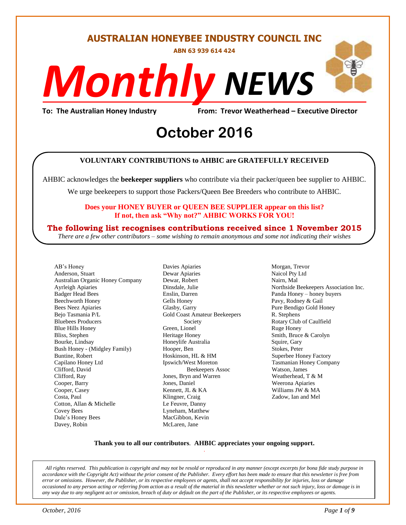#### **AUSTRALIAN HONEYBEE INDUSTRY COUNCIL INC**

**ABN 63 939 614 424**

# *NEWS Monthly*

**To: The Australian Honey Industry From: Trevor Weatherhead – Executive Director**

# From: Trevor Weather<br> **October** 2016

#### **VOLUNTARY CONTRIBUTIONS to AHBIC are GRATEFULLY RECEIVED**

AHBIC acknowledges the **beekeeper suppliers** who contribute via their packer/queen bee supplier to AHBIC.

We urge beekeepers to support those Packers/Queen Bee Breeders who contribute to AHBIC.

#### **Does your HONEY BUYER or QUEEN BEE SUPPLIER appear on this list? If not, then ask "Why not?" AHBIC WORKS FOR YOU!**

#### **The following list recognises contributions received since 1 November 2015**

*There are a few other contributors – some wishing to remain anonymous and some not indicating their wishes*

AB's Honey Anderson, Stuart Australian Organic Honey Company Ayrleigh Apiaries Badger Head Bees Beechworth Honey Bees Neez Apiaries Bejo Tasmania P/L Bluebees Producers Blue Hills Honey Bliss, Stephen Bourke, Lindsay Bush Honey - (Midgley Family) Buntine, Robert Capilano Honey Ltd Clifford, David Clifford, Ray Cooper, Barry Cooper, Casey Costa, Paul Cotton, Allan & Michelle Covey Bees Dale's Honey Bees Davey, Robin

Davies Apiaries Dewar Apiaries Dewar, Robert Dinsdale, Julie Enslin, Darren Gells Honey Glasby, Garry Gold Coast Amateur Beekeepers Society Green, Lionel Heritage Honey Honeylife Australia Hooper, Ben Hoskinson, HL & HM Ipswich/West Moreton Beekeepers Assoc Jones, Bryn and Warren Jones, Daniel Kennett, JL & KA Klingner, Craig Le Feuvre, Danny Lyneham, Matthew MacGibbon, Kevin McLaren, Jane

Morgan, Trevor Naicol Pty Ltd Nairn, Mal Northside Beekeepers Association Inc. Panda Honey – honey buyers Pavy, Rodney & Gail Pure Bendigo Gold Honey R. Stephens Rotary Club of Caulfield Ruge Honey Smith, Bruce & Carolyn Squire, Gary Stokes, Peter Superbee Honey Factory Tasmanian Honey Company Watson, James Weatherhead, T & M Weerona Apiaries Williams JW & MA Zadow, Ian and Mel

#### **Thank you to all our contributors***.* **AHBIC appreciates your ongoing support.** .

*All rights reserved. This publication is copyright and may not be resold or reproduced in any manner (except excerpts for bona fide study purpose in accordance with the Copyright Act) without the prior consent of the Publisher. Every effort has been made to ensure that this newsletter is free from error or omissions. However, the Publisher, or its respective employees or agents, shall not accept responsibility for injuries, loss or damage occasioned to any person acting or referring from action as a result of the material in this newsletter whether or not such injury, loss or damage is in any way due to any negligent act or omission, breach of duty or default on the part of the Publisher, or its respective employees or agents.*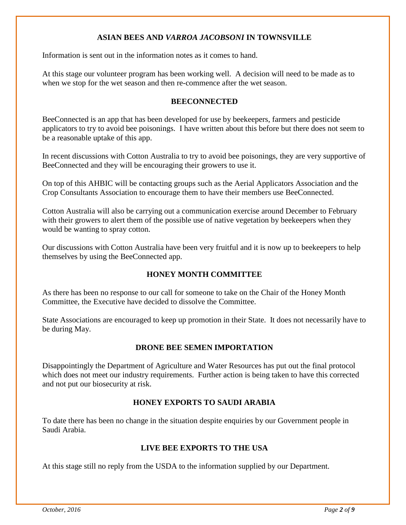#### **ASIAN BEES AND** *VARROA JACOBSONI* **IN TOWNSVILLE**

Information is sent out in the information notes as it comes to hand.

At this stage our volunteer program has been working well. A decision will need to be made as to when we stop for the wet season and then re-commence after the wet season.

#### **BEECONNECTED**

BeeConnected is an app that has been developed for use by beekeepers, farmers and pesticide applicators to try to avoid bee poisonings. I have written about this before but there does not seem to be a reasonable uptake of this app.

In recent discussions with Cotton Australia to try to avoid bee poisonings, they are very supportive of BeeConnected and they will be encouraging their growers to use it.

On top of this AHBIC will be contacting groups such as the Aerial Applicators Association and the Crop Consultants Association to encourage them to have their members use BeeConnected.

Cotton Australia will also be carrying out a communication exercise around December to February with their growers to alert them of the possible use of native vegetation by beekeepers when they would be wanting to spray cotton.

Our discussions with Cotton Australia have been very fruitful and it is now up to beekeepers to help themselves by using the BeeConnected app.

#### **HONEY MONTH COMMITTEE**

As there has been no response to our call for someone to take on the Chair of the Honey Month Committee, the Executive have decided to dissolve the Committee.

State Associations are encouraged to keep up promotion in their State. It does not necessarily have to be during May.

#### **DRONE BEE SEMEN IMPORTATION**

Disappointingly the Department of Agriculture and Water Resources has put out the final protocol which does not meet our industry requirements. Further action is being taken to have this corrected and not put our biosecurity at risk.

#### **HONEY EXPORTS TO SAUDI ARABIA**

To date there has been no change in the situation despite enquiries by our Government people in Saudi Arabia.

#### **LIVE BEE EXPORTS TO THE USA**

At this stage still no reply from the USDA to the information supplied by our Department.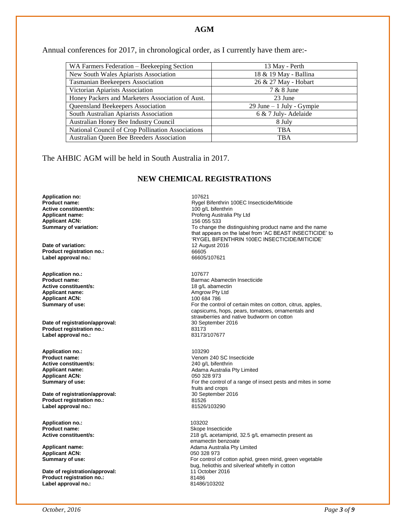#### **AGM**

Annual conferences for 2017, in chronological order, as I currently have them are:-

| WA Farmers Federation - Beekeeping Section        | 13 May - Perth               |  |
|---------------------------------------------------|------------------------------|--|
| New South Wales Apiarists Association             | 18 & 19 May - Ballina        |  |
| <b>Tasmanian Beekeepers Association</b>           | 26 & 27 May - Hobart         |  |
| Victorian Apiarists Association                   | 7 & 8 June                   |  |
| Honey Packers and Marketers Association of Aust.  | 23 June                      |  |
| Queensland Beekeepers Association                 | $29$ June $-1$ July - Gympie |  |
| South Australian Apiarists Association            | 6 & 7 July-Adelaide          |  |
| Australian Honey Bee Industry Council             | 8 July                       |  |
| National Council of Crop Pollination Associations | <b>TBA</b>                   |  |
| Australian Queen Bee Breeders Association         | <b>TBA</b>                   |  |

The AHBIC AGM will be held in South Australia in 2017.

#### **NEW CHEMICAL REGISTRATIONS**

**Application no:** 107621 **Active constituent/s:** <br> **Applicant name:** <br> **Applicant name:** <br> **Profend Australia Applicant ACN:**<br>Summary of variation:

**Date of variation: Product registration no.:** 66605 Label approval no.:

**Application no.:** 2007677<br> **Product name:** 2008 **Barmac Active constituent/s:**<br>Applicant name: **Applicant ACN:**<br>Summary of use:

**Date of registration/approval:** 30 September 2016 10 September 2016 20173 **Product registration no.:** 83173 Label approval no.:

**Application no.:** 103290 **Active constituent/s:**<br>Applicant name: **Applicant ACN:** 050 328 973<br> **Summary of use:** CONSERVING THE CONTROLLY AND THE CONTROLLY AND THE CONTROLLY AND THE CONTROLLY AND THE CONTROLLY

**Date of registration/approval: Product registration no.:** 81526 **Label approval no.:** 

**Application no.:** 2002/2020<br> **Product name:** 2002/2020 2012 2020 2020 2020 2020

**Applicant ACN:** 

**Date of registration/approval:** 11 October 2016<br>Product registration no.: 201486 **Product registration no.:** 81486 **Label approval no.:** 

**Product name:** <br>**Active constituent/s:** <br>**Active constituent/s:** <br>**Active constituent/s:** <br>**Active constituent/s:** <br>**Active constituent/s:** <br>**Active constituent/s:** <br>**Active constituent/s:** <br>**Active constituent/s:** <br>**Acti** Profeng Australia Pty Ltd<br>156 055 533 To change the distinguishing product name and the name that appears on the label from 'AC BEAST INSECTICIDE' to 'RYGEL BIFENTHRIN 100EC INSECTICIDE/MITICIDE'

> Barmac Abamectin Insecticide<br>18 g/L abamectin Amgrow Pty Ltd<br>100 684 786 For the control of certain mites on cotton, citrus, apples, capsicums, hops, pears, tomatoes, ornamentals and strawberries and native budworm on cotton<br>30 September 2016

Venom 240 SC Insecticide<br>240 g/L bifenthrin **Applicant name:** Adama Australia Pty Limited For the control of a range of insect pests and mites in some fruits and crops<br>30 September 2016

**Skope Insecticide Active constituent/s: 218 g/L acetamiprid, 32.5 g/L emamectin present as** emamectin benzoate **Applicant name:** <br> **Adama Australia Pty Limited Applicant ACN: Applicant ACN: Applicant ACN: Applicant ACN: Applicant ACN: Applicant ACN: Applicant ACN: Applicant ACN: Applicant ACN: Applicant ACN: App Summary of use: For control of control of control of control of control of control of control of control of control of control of control of control of control of control of control of control of control of control of c** bug, heliothis and silverleaf whitefly in cotton<br>11 October 2016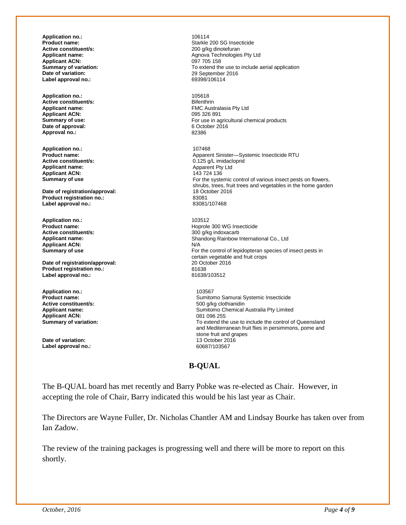**Application no.:** 106114 **Active constituent/s:**<br>Applicant name: **Applicant ACN:**<br>**Summary of variation: Label approval no.:** 

**Application no.:** 105618 **Active constituent/s:**<br>Applicant name: **Applicant ACN:**<br>Summary of use: **Date of approval:** 6 October 2016<br> **Approval no.:** 82386 Approval no.:

**Application no.:** 107468 **Active constituent/s:**  $0.125 \text{ g/L}$  imidacloprid<br> **Applicant name:**  $0.125 \text{ g/L}$  imidacloprid **Applicant ACN:**<br>Summary of use

**Date of registration/approval:** 18 October 2016<br> **Product registration no.:** 23081 **Product registration no.:**<br> **Abel approval no .**<br> **Abel approval no .**<br> **Bable 12081/107468** Label approval no.:

**Application no.:** 103512 **Active constituent/s:**<br>Applicant name: **Applicant ACN:**<br>Summary of use

**Date of registration/approval: Product registration no.:** 81638 Label approval no.:

**Application no.:** 103567 **Applicant ACN:**<br>Summary of variation:

**Date of variation:** 13 October 2016 Label approval no.:

Starkle 200 SG Insecticide<br>200 a/kg dinotefuran Agnova Technologies Pty Ltd<br>097 705 158 **Summary of variation: To extend the use to include aerial application**<br> **Date of variation: The use of variation:** 29 September 2016 **Date of variation:** 29 September 2016

> FMC Australasia Pty Ltd<br>095 326 891 For use in agricultural chemical products<br>6 October 2016

**Product name:**<br> **Apparent Sinister—Systemic Insecticide RTU**<br> **Active constituent/s:**<br>  $0.125 \frac{q}{L}$  imidacloprid Apparent Pty Ltd<br>143 724 136 For the systemic control of various insect pests on flowers, shrubs, trees, fruit trees and vegetables in the home garden

> Hoprole 300 WG Insecticide<br>300 g/kg indoxacarb Shandong Rainbow International Co., Ltd<br>N/A For the control of lepidopteran species of insect pests in certain vegetable and fruit crops<br>20 October 2016

**Product name: Product name: Sumitomo Samurai Systemic Insecticide**<br> **Active constituent/s: S00 a/kg** clothianidin **Active constituent/s:** 500 g/kg clothianidin **Applicant name: Applicant name: Sumitomo Chemical Australia Pty Limited Applicant ACN: Applicant ACN: Applicant ACN: Applicant ACN: Applicant ACN: Applicant ACN: Applicant ACN: Applicant ACN: Applicant** To extend the use to include the control of Queensland and Mediterranean fruit flies in persimmons, pome and stone fruit and grapes

#### **B-QUAL**

The B-QUAL board has met recently and Barry Pobke was re-elected as Chair. However, in accepting the role of Chair, Barry indicated this would be his last year as Chair.

The Directors are Wayne Fuller, Dr. Nicholas Chantler AM and Lindsay Bourke has taken over from Ian Zadow.

The review of the training packages is progressing well and there will be more to report on this shortly.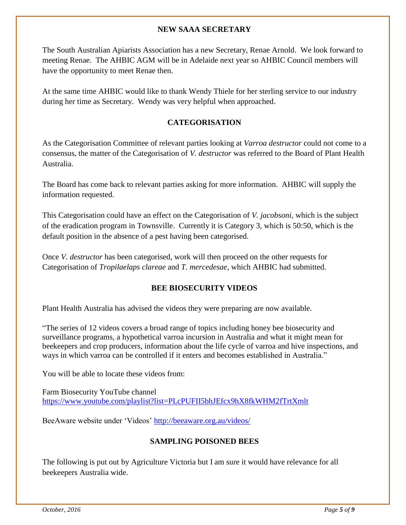#### **NEW SAAA SECRETARY**

The South Australian Apiarists Association has a new Secretary, Renae Arnold. We look forward to meeting Renae. The AHBIC AGM will be in Adelaide next year so AHBIC Council members will have the opportunity to meet Renae then.

At the same time AHBIC would like to thank Wendy Thiele for her sterling service to our industry during her time as Secretary. Wendy was very helpful when approached.

#### **CATEGORISATION**

As the Categorisation Committee of relevant parties looking at *Varroa destructor* could not come to a consensus, the matter of the Categorisation of *V. destructor* was referred to the Board of Plant Health Australia.

The Board has come back to relevant parties asking for more information. AHBIC will supply the information requested.

This Categorisation could have an effect on the Categorisation of *V. jacobsoni*, which is the subject of the eradication program in Townsville. Currently it is Category 3, which is 50:50, which is the default position in the absence of a pest having been categorised.

Once *V. destructor* has been categorised, work will then proceed on the other requests for Categorisation of *Tropilaelaps clareae* and *T. mercedesae*, which AHBIC had submitted.

#### **BEE BIOSECURITY VIDEOS**

Plant Health Australia has advised the videos they were preparing are now available.

"The series of 12 videos covers a broad range of topics including honey bee biosecurity and surveillance programs, a hypothetical varroa incursion in Australia and what it might mean for beekeepers and crop producers, information about the life cycle of varroa and hive inspections, and ways in which varroa can be controlled if it enters and becomes established in Australia."

You will be able to locate these videos from:

Farm Biosecurity YouTube channel <https://www.youtube.com/playlist?list=PLcPUFII5bhJEfcx9hX8fkWHM2fTrtXmlt>

BeeAware website under 'Videos'<http://beeaware.org.au/videos/>

#### **SAMPLING POISONED BEES**

The following is put out by Agriculture Victoria but I am sure it would have relevance for all beekeepers Australia wide.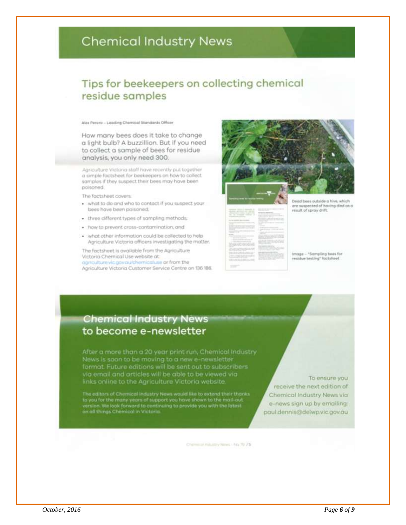# **Chemical Industry News**

## Tips for beekeepers on collecting chemical residue samples

Alex Perera - Leading Chemical Standards Officer

How many bees does it take to change a light bulb? A buzzillion. But if you need to collect a sample of bees for residue analysis, you only need 300.

Agriculture Victoria staff have recently put together a simple factsheet for beekeepers on how to collect. samples if they suspect their bees may have been poisoned.

The factsheet covers:

- . what to do and who to contact if you suspect your. bees have been paisoned:
- · three different types of sampling methods;
- · how to prevent cross-contamination, and
- . what other information could be collected to help Agriculture Victoria officers investigating the matter.

The factsheet is available from the Agriculture Victoria Chemical Use website at:

agriculture vic govaulthemicaluse or from the Agriculture Victoria Customer Service Centre on 136 186.

ad bees outside a hive, which are suspected of having died as a result of spray drift.

Image - "Sampling boos for residue testing" factaheet

### **Chemical Industry News** to become e-newsletter

After a more than a 20 year print run, Chemical Industry News is soon to be moving to a new e-newsletter format. Future editions will be sent out to subscribers<br>via email and articles will be able to be viewed via links online to the Agriculture Victoria website

The editors of Chemical Industry News would like to extend their thanks to you for the many years of support you have shown to the mail-out<br>version. We look forward to continuing to provide you with the latest<br>on all things Chemical in Victoria.

To ensure you receive the next edition of Chemical Industry News via e-news sign up by emailing: paul.dennis@delwp.vic.gov.au

Chemical Installoy News - No. 70 75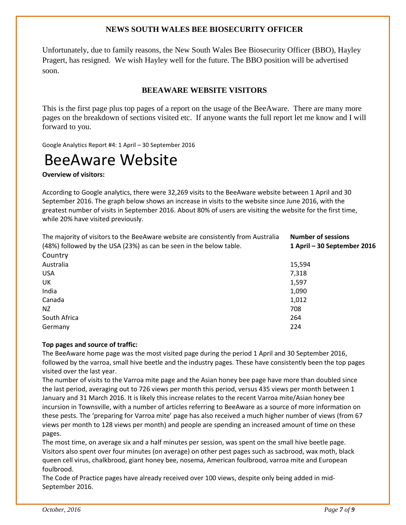#### **NEWS SOUTH WALES BEE BIOSECURITY OFFICER**

Unfortunately, due to family reasons, the New South Wales Bee Biosecurity Officer (BBO), Hayley Pragert, has resigned. We wish Hayley well for the future. The BBO position will be advertised soon.

#### **BEEAWARE WEBSITE VISITORS**

This is the first page plus top pages of a report on the usage of the BeeAware. There are many more pages on the breakdown of sections visited etc. If anyone wants the full report let me know and I will forward to you.

Google Analytics Report #4: 1 April – 30 September 2016

# BeeAware Website

**Overview of visitors:** 

According to Google analytics, there were 32,269 visits to the BeeAware website between 1 April and 30 September 2016. The graph below shows an increase in visits to the website since June 2016, with the greatest number of visits in September 2016. About 80% of users are visiting the website for the first time, while 20% have visited previously.

| The majority of visitors to the BeeAware website are consistently from Australia | <b>Number of sessions</b>   |
|----------------------------------------------------------------------------------|-----------------------------|
| (48%) followed by the USA (23%) as can be seen in the below table.               | 1 April – 30 September 2016 |
| Country                                                                          |                             |
| Australia                                                                        | 15,594                      |
| <b>USA</b>                                                                       | 7,318                       |
| UK.                                                                              | 1,597                       |
| India                                                                            | 1,090                       |
| Canada                                                                           | 1,012                       |
| NZ.                                                                              | 708                         |
| South Africa                                                                     | 264                         |
| Germany                                                                          | 224                         |

#### **Top pages and source of traffic:**

The BeeAware home page was the most visited page during the period 1 April and 30 September 2016, followed by the varroa, small hive beetle and the industry pages. These have consistently been the top pages visited over the last year.

The number of visits to the Varroa mite page and the Asian honey bee page have more than doubled since the last period, averaging out to 726 views per month this period, versus 435 views per month between 1 January and 31 March 2016. It is likely this increase relates to the recent Varroa mite/Asian honey bee incursion in Townsville, with a number of articles referring to BeeAware as a source of more information on these pests. The 'preparing for Varroa mite' page has also received a much higher number of views (from 67 views per month to 128 views per month) and people are spending an increased amount of time on these pages.

The most time, on average six and a half minutes per session, was spent on the small hive beetle page. Visitors also spent over four minutes (on average) on other pest pages such as sacbrood, wax moth, black queen cell virus, chalkbrood, giant honey bee, nosema, American foulbrood, varroa mite and European foulbrood.

The Code of Practice pages have already received over 100 views, despite only being added in mid-September 2016.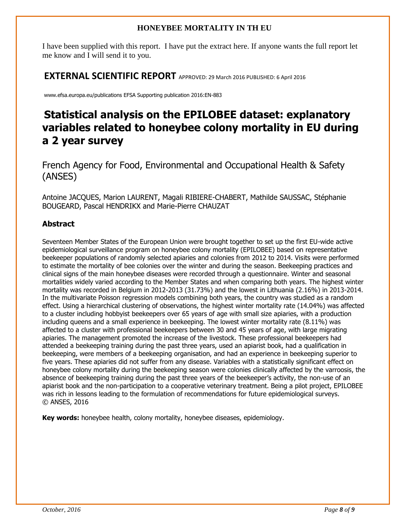#### **HONEYBEE MORTALITY IN TH EU**

I have been supplied with this report. I have put the extract here. If anyone wants the full report let me know and I will send it to you.

**EXTERNAL SCIENTIFIC REPORT** APPROVED: 29 March 2016 PUBLISHED: 6 April 2016

www.efsa.europa.eu/publications EFSA Supporting publication 2016:EN-883

# **Statistical analysis on the EPILOBEE dataset: explanatory variables related to honeybee colony mortality in EU during a 2 year survey**

French Agency for Food, Environmental and Occupational Health & Safety (ANSES)

Antoine JACQUES, Marion LAURENT, Magali RIBIERE-CHABERT, Mathilde SAUSSAC, Stéphanie BOUGEARD, Pascal HENDRIKX and Marie-Pierre CHAUZAT

#### **Abstract**

Seventeen Member States of the European Union were brought together to set up the first EU-wide active epidemiological surveillance program on honeybee colony mortality (EPILOBEE) based on representative beekeeper populations of randomly selected apiaries and colonies from 2012 to 2014. Visits were performed to estimate the mortality of bee colonies over the winter and during the season. Beekeeping practices and clinical signs of the main honeybee diseases were recorded through a questionnaire. Winter and seasonal mortalities widely varied according to the Member States and when comparing both years. The highest winter mortality was recorded in Belgium in 2012-2013 (31.73%) and the lowest in Lithuania (2.16%) in 2013-2014. In the multivariate Poisson regression models combining both years, the country was studied as a random effect. Using a hierarchical clustering of observations, the highest winter mortality rate (14.04%) was affected to a cluster including hobbyist beekeepers over 65 years of age with small size apiaries, with a production including queens and a small experience in beekeeping. The lowest winter mortality rate (8.11%) was affected to a cluster with professional beekeepers between 30 and 45 years of age, with large migrating apiaries. The management promoted the increase of the livestock. These professional beekeepers had attended a beekeeping training during the past three years, used an apiarist book, had a qualification in beekeeping, were members of a beekeeping organisation, and had an experience in beekeeping superior to five years. These apiaries did not suffer from any disease. Variables with a statistically significant effect on honeybee colony mortality during the beekeeping season were colonies clinically affected by the varroosis, the absence of beekeeping training during the past three years of the beekeeper's activity, the non-use of an apiarist book and the non-participation to a cooperative veterinary treatment. Being a pilot project, EPILOBEE was rich in lessons leading to the formulation of recommendations for future epidemiological surveys. © ANSES, 2016

**Key words:** honeybee health, colony mortality, honeybee diseases, epidemiology.